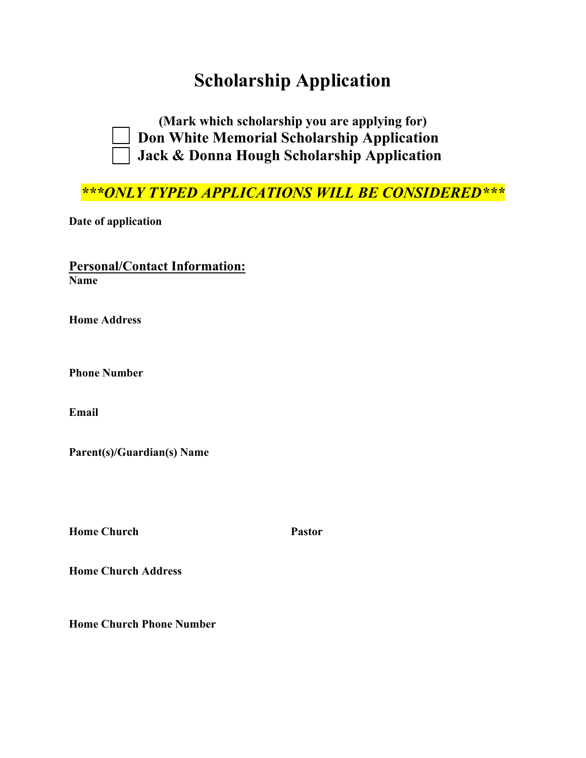# **Scholarship Application**



**(Mark which scholarship you are applying for) Don White Memorial Scholarship Application Jack & Donna Hough Scholarship Application**

*\*\*\*ONLY TYPED APPLICATIONS WILL BE CONSIDERED\*\*\**

**Date of application** 

### **Personal/Contact Information: Name**

**Home Address** 

**Phone Number**

**Email** 

**Parent(s)/Guardian(s) Name** 

**Home Church Pastor Pastor** 

**Home Church Address** 

**Home Church Phone Number**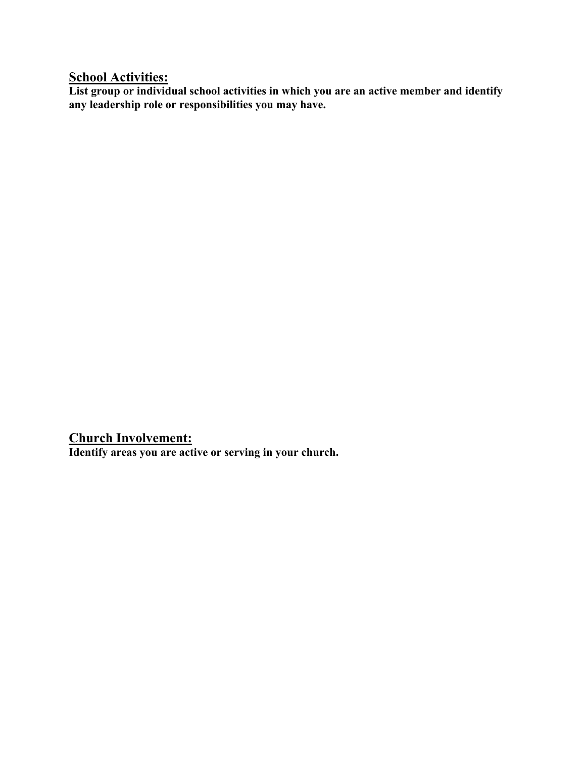### **School Activities:**

**List group or individual school activities in which you are an active member and identify any leadership role or responsibilities you may have.** 

**Church Involvement: Identify areas you are active or serving in your church.**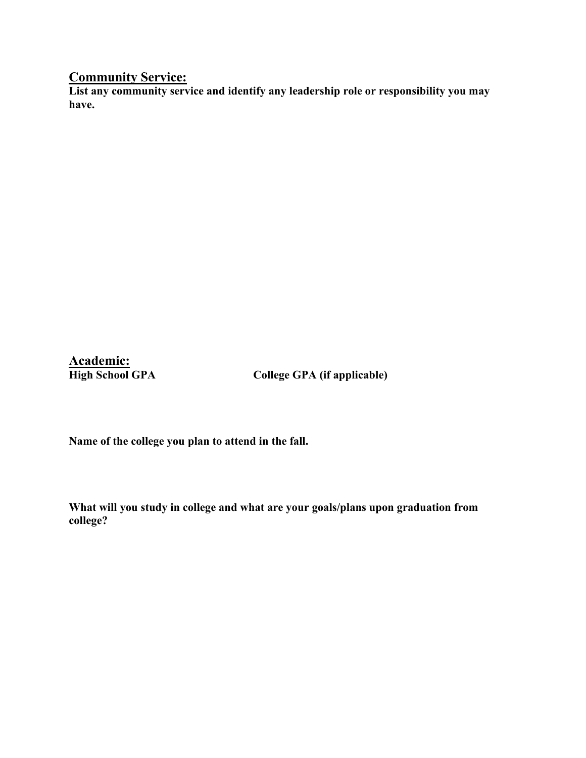## **Community Service:**

**List any community service and identify any leadership role or responsibility you may have.** 

**Academic:** 

**High School GPA College GPA (if applicable)**

**Name of the college you plan to attend in the fall.**

**What will you study in college and what are your goals/plans upon graduation from college?**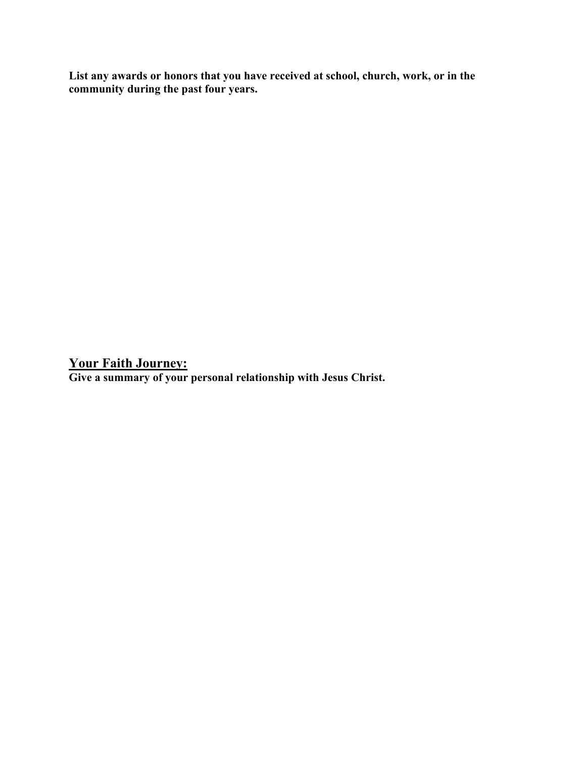**List any awards or honors that you have received at school, church, work, or in the community during the past four years.** 

**Your Faith Journey:** 

**Give a summary of your personal relationship with Jesus Christ.**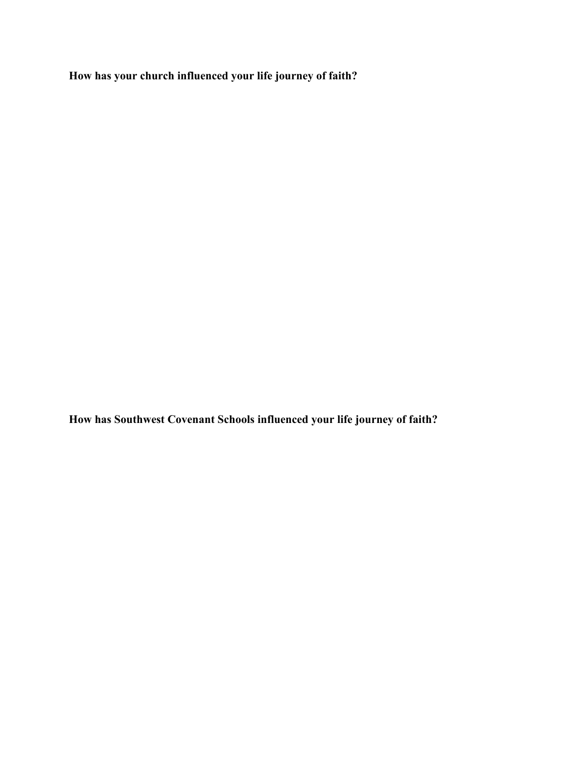**How has your church influenced your life journey of faith?**

**How has Southwest Covenant Schools influenced your life journey of faith?**